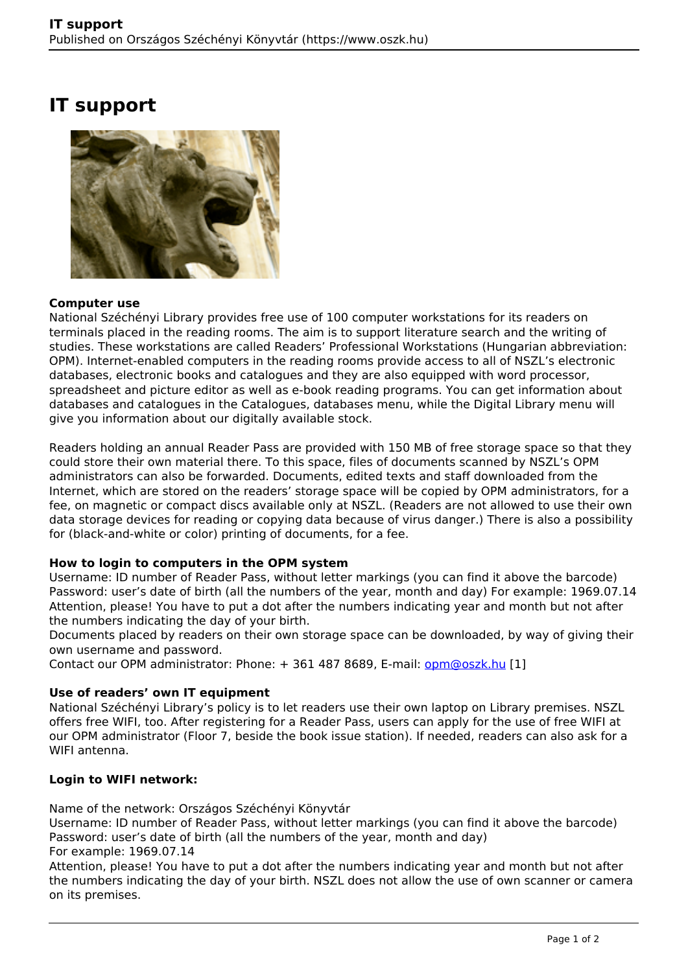# **IT support**



#### **Computer use**

National Széchényi Library provides free use of 100 computer workstations for its readers on terminals placed in the reading rooms. The aim is to support literature search and the writing of studies. These workstations are called Readers' Professional Workstations (Hungarian abbreviation: OPM). Internet-enabled computers in the reading rooms provide access to all of NSZL's electronic databases, electronic books and catalogues and they are also equipped with word processor, spreadsheet and picture editor as well as e-book reading programs. You can get information about databases and catalogues in the Catalogues, databases menu, while the Digital Library menu will give you information about our digitally available stock.

Readers holding an annual Reader Pass are provided with 150 MB of free storage space so that they could store their own material there. To this space, files of documents scanned by NSZL's OPM administrators can also be forwarded. Documents, edited texts and staff downloaded from the Internet, which are stored on the readers' storage space will be copied by OPM administrators, for a fee, on magnetic or compact discs available only at NSZL. (Readers are not allowed to use their own data storage devices for reading or copying data because of virus danger.) There is also a possibility for (black-and-white or color) printing of documents, for a fee.

## **How to login to computers in the OPM system**

Username: ID number of Reader Pass, without letter markings (you can find it above the barcode) Password: user's date of birth (all the numbers of the year, month and day) For example: 1969.07.14 Attention, please! You have to put a dot after the numbers indicating year and month but not after the numbers indicating the day of your birth.

Documents placed by readers on their own storage space can be downloaded, by way of giving their own username and password.

Contact our OPM administrator: Phone: + 361 487 8689, E-mail: [opm@oszk.hu](mailto:opm@oszk.hu) [1]

## **Use of readers' own IT equipment**

National Széchényi Library's policy is to let readers use their own laptop on Library premises. NSZL offers free WIFI, too. After registering for a Reader Pass, users can apply for the use of free WIFI at our OPM administrator (Floor 7, beside the book issue station). If needed, readers can also ask for a WIFI antenna.

## **Login to WIFI network:**

Name of the network: Országos Széchényi Könyvtár

Username: ID number of Reader Pass, without letter markings (you can find it above the barcode) Password: user's date of birth (all the numbers of the year, month and day) For example: 1969.07.14

Attention, please! You have to put a dot after the numbers indicating year and month but not after the numbers indicating the day of your birth. NSZL does not allow the use of own scanner or camera on its premises.